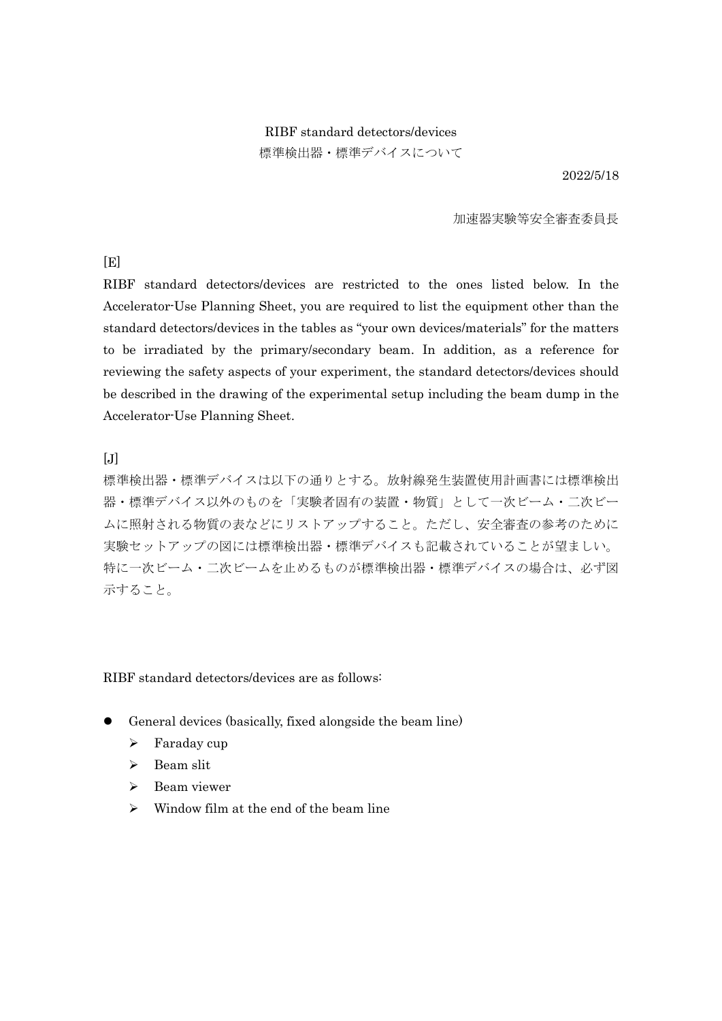# RIBF standard detectors/devices 標準検出器・標準デバイスについて

2022/5/18

#### 加速器実験等安全審査委員長

 $[**E**]$ 

RIBF standard detectors/devices are restricted to the ones listed below. In the Accelerator-Use Planning Sheet, you are required to list the equipment other than the standard detectors/devices in the tables as "your own devices/materials" for the matters to be irradiated by the primary/secondary beam. In addition, as a reference for reviewing the safety aspects of your experiment, the standard detectors/devices should be described in the drawing of the experimental setup including the beam dump in the Accelerator-Use Planning Sheet.

 $[J]$ 

標準検出器・標準デバイスは以下の通りとする。放射線発生装置使用計画書には標準検出 器・標準デバイス以外のものを「実験者固有の装置・物質」として一次ビーム・二次ビー ムに照射される物質の表などにリストアップすること。ただし、安全審査の参考のために 実験セットアップの図には標準検出器・標準デバイスも記載されていることが望ましい。 特に一次ビーム・二次ビームを止めるものが標準検出器・標準デバイスの場合は、必ず図 示すること。

RIBF standard detectors/devices are as follows:

- ⚫ General devices (basically, fixed alongside the beam line)
	- ➢ Faraday cup
	- ➢ Beam slit
	- ➢ Beam viewer
	- $\triangleright$  Window film at the end of the beam line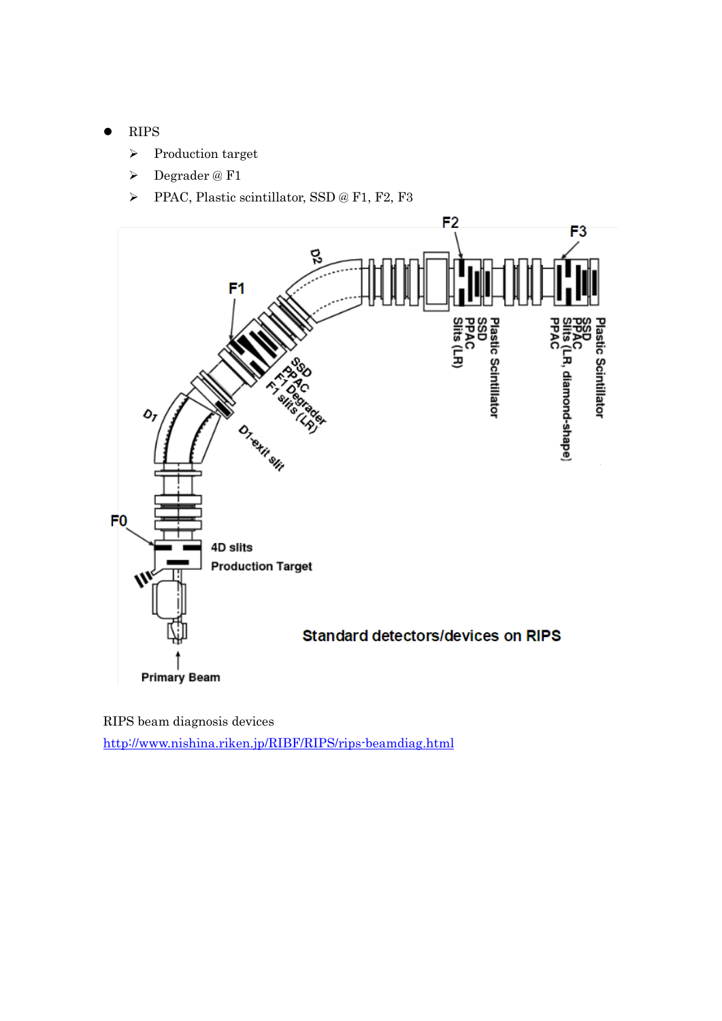#### ⚫ RIPS

- ➢ Production target
- ➢ Degrader @ F1
- ➢ PPAC, Plastic scintillator, SSD @ F1, F2, F3



RIPS beam diagnosis devices <http://www.nishina.riken.jp/RIBF/RIPS/rips-beamdiag.html>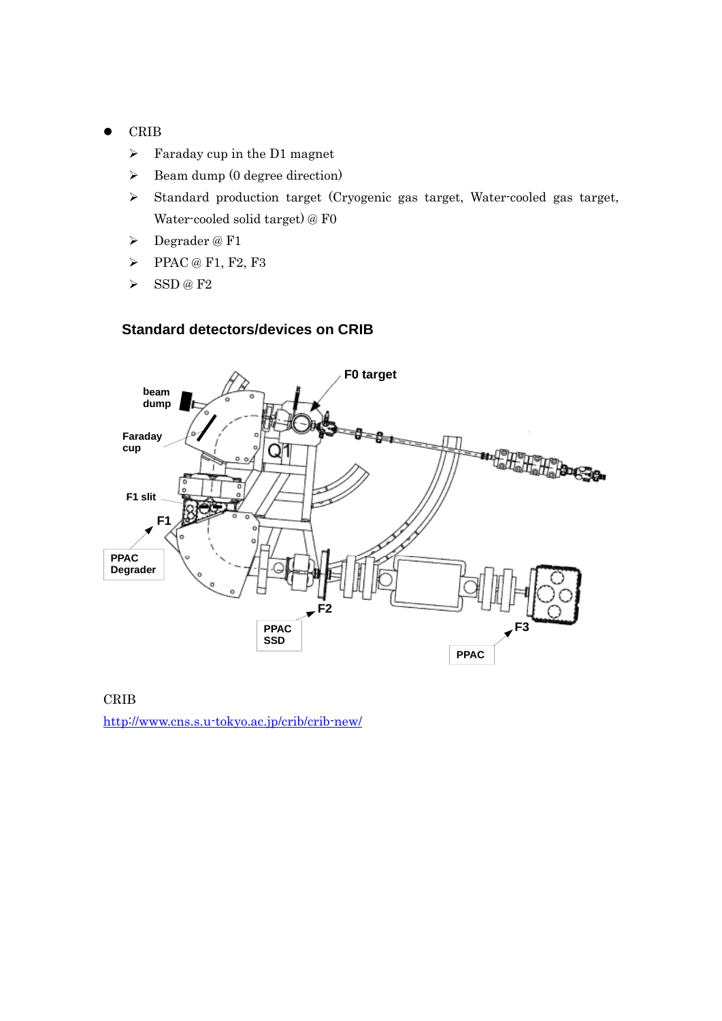#### ⚫ CRIB

- $\triangleright$  Faraday cup in the D1 magnet
- ➢ Beam dump (0 degree direction)
- ➢ Standard production target (Cryogenic gas target, Water-cooled gas target, Water-cooled solid target) @ F0
- ➢ Degrader @ F1
- ➢ PPAC @ F1, F2, F3
- $\triangleright$  SSD @ F2

### **Standard detectors/devices on CRIB**



#### CRIB

<http://www.cns.s.u-tokyo.ac.jp/crib/crib-new/>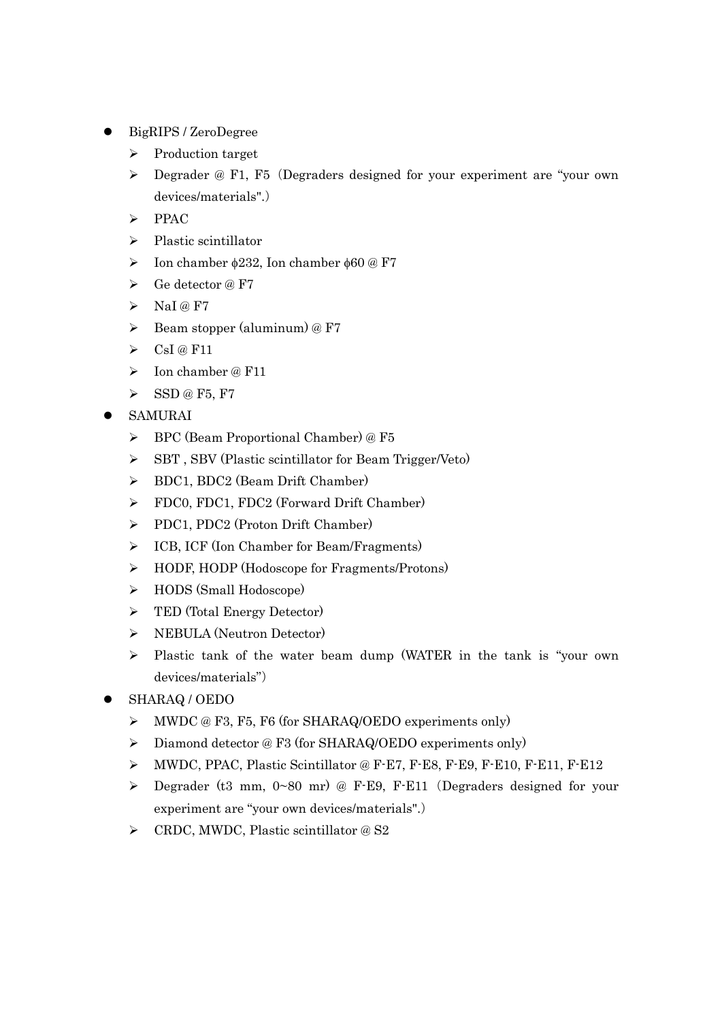- ⚫ BigRIPS / ZeroDegree
	- ➢ Production target
	- ➢ Degrader @ F1, F5(Degraders designed for your experiment are "your own devices/materials".)
	- ➢ PPAC
	- ➢ Plastic scintillator
	- $\triangleright$  Ion chamber  $\phi$ 232, Ion chamber  $\phi$ 60 @ F7
	- ➢ Ge detector @ F7
	- $\triangleright$  NaI @ F7
	- $\triangleright$  Beam stopper (aluminum) @ F7
	- $\triangleright$  CsI @ F11
	- ➢ Ion chamber @ F11
	- ➢ SSD @ F5, F7
- ⚫ SAMURAI
	- ➢ BPC (Beam Proportional Chamber) @ F5
	- ➢ SBT , SBV (Plastic scintillator for Beam Trigger/Veto)
	- ➢ BDC1, BDC2 (Beam Drift Chamber)
	- ➢ FDC0, FDC1, FDC2 (Forward Drift Chamber)
	- ➢ PDC1, PDC2 (Proton Drift Chamber)
	- ➢ ICB, ICF (Ion Chamber for Beam/Fragments)
	- ➢ HODF, HODP (Hodoscope for Fragments/Protons)
	- ➢ HODS (Small Hodoscope)
	- ➢ TED (Total Energy Detector)
	- ➢ NEBULA (Neutron Detector)
	- ➢ Plastic tank of the water beam dump (WATER in the tank is "your own devices/materials")
- ⚫ SHARAQ / OEDO
	- ➢ MWDC @ F3, F5, F6 (for SHARAQ/OEDO experiments only)
	- ➢ Diamond detector @ F3 (for SHARAQ/OEDO experiments only)
	- ➢ MWDC, PPAC, Plastic Scintillator @ F-E7, F-E8, F-E9, F-E10, F-E11, F-E12
	- ➢ Degrader (t3 mm, 0~80 mr) @ F-E9, F-E11(Degraders designed for your experiment are "your own devices/materials".)
	- ➢ CRDC, MWDC, Plastic scintillator @ S2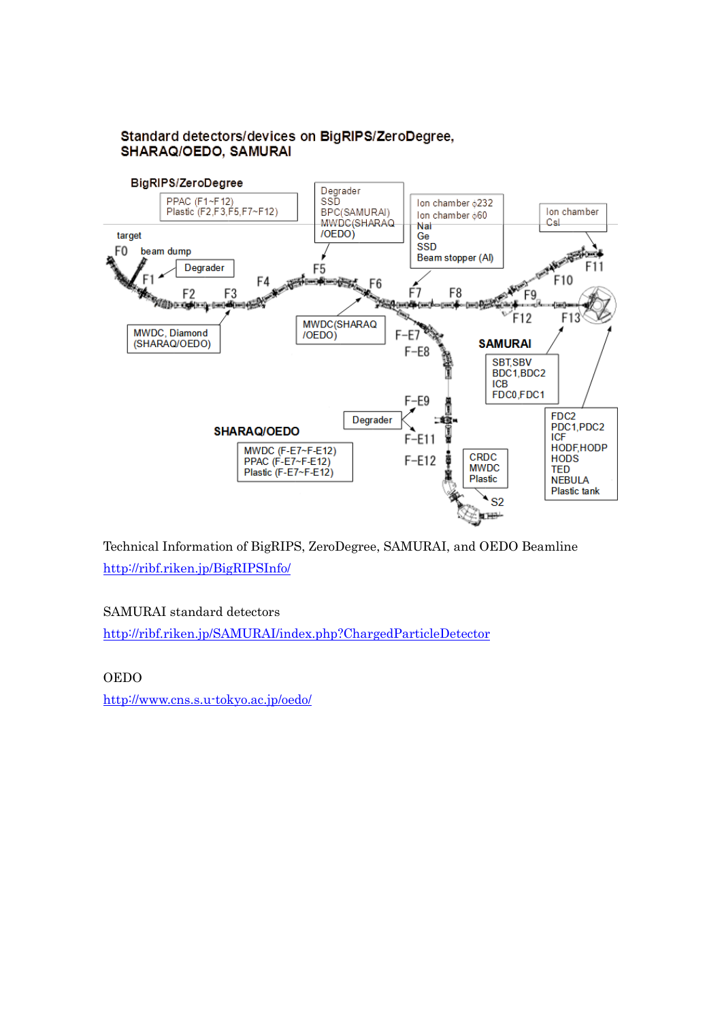

## Standard detectors/devices on BigRIPS/ZeroDegree, SHARAQ/OEDO, SAMURAI

Technical Information of BigRIPS, ZeroDegree, SAMURAI, and OEDO Beamline <http://ribf.riken.jp/BigRIPSInfo/>

# SAMURAI standard detectors

<http://ribf.riken.jp/SAMURAI/index.php?ChargedParticleDetector>

OEDO

<http://www.cns.s.u-tokyo.ac.jp/oedo/>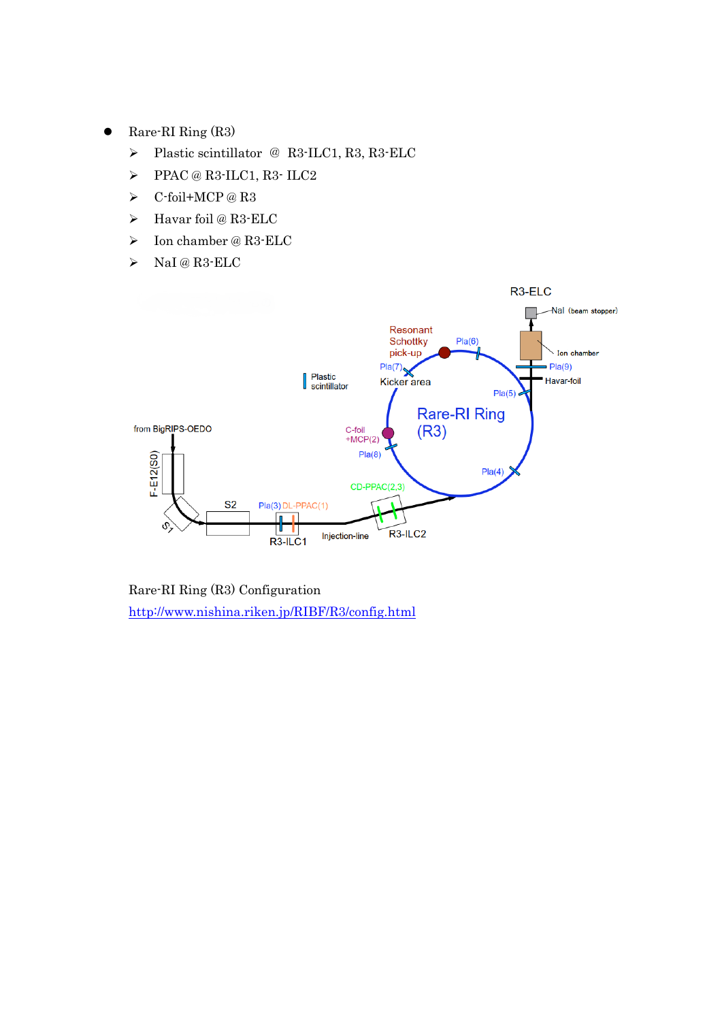- ⚫ Rare-RI Ring (R3)
	- ➢ Plastic scintillator @ R3-ILC1, R3, R3-ELC
	- ➢ PPAC @ R3-ILC1, R3- ILC2
	- ➢ C-foil+MCP @ R3
	- ➢ Havar foil @ R3-ELC
	- $\triangleright$  Ion chamber @ R3-ELC
	- ➢ NaI @ R3-ELC



Rare-RI Ring (R3) Configuration <http://www.nishina.riken.jp/RIBF/R3/config.html>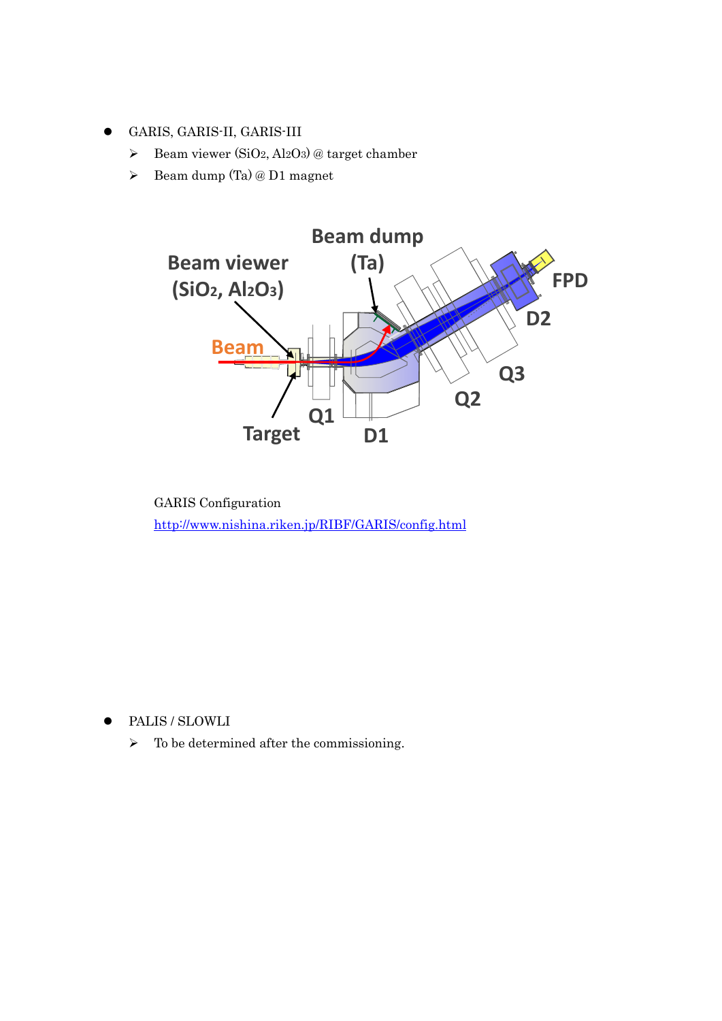- ⚫ GARIS, GARIS-II, GARIS-III
	- $\triangleright$  Beam viewer (SiO<sub>2</sub>, Al<sub>2</sub>O<sub>3</sub>) @ target chamber
	- ➢ Beam dump (Ta) @ D1 magnet



GARIS Configuration <http://www.nishina.riken.jp/RIBF/GARIS/config.html>

- PALIS / SLOWLI
	- $\triangleright$  To be determined after the commissioning.